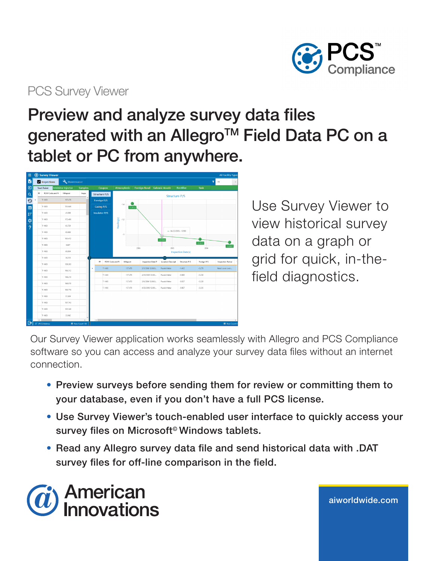

## PCS Survey Viewer

## Preview and analyze survey data files generated with an Allegro™ Field Data PC on a tablet or PC from anywhere.

| Ξ               | Survey Viewer<br><b>All Facility Types</b> |                           |                                   |                      |                             |                     |                       |                           |             |                         |
|-----------------|--------------------------------------------|---------------------------|-----------------------------------|----------------------|-----------------------------|---------------------|-----------------------|---------------------------|-------------|-------------------------|
| b               | Inspections                                | Maintenance               |                                   |                      |                             |                     |                       |                           |             | T<br>All                |
| Đ               | <b>Test Point</b>                          | <b>Inhibitor Injector</b> | Samples                           | Coupon               | Atmospheric                 | <b>Foreign Bond</b> | <b>Galvanic Anode</b> | <b>Rectifier</b>          | Tank        |                         |
| $\alpha$        | RF<br>ROW Code and Pi                      | Milepost                  | Inspe                             | Structure P/S        |                             |                     |                       | <b>Structure P/S</b>      |             |                         |
| $\odot$         | $T-1403$                                   | 157,478                   |                                   | <b>Foreign P/S</b>   |                             |                     |                       |                           |             |                         |
| $\blacksquare$  | $T-1403$                                   | 151.649                   |                                   | Casing P/S           | $-1.4$                      | 1.412               |                       |                           |             |                         |
| $1\overline{z}$ | $T-1403$                                   | 45.699                    |                                   | <b>Insulator P/S</b> |                             |                     |                       |                           |             |                         |
| \$              | $T - 1403$                                 | 172.400                   |                                   |                      | $-1.2$                      |                     |                       |                           |             |                         |
| $\overline{?}$  | $T-1403$                                   | 65.729                    |                                   |                      | Reading(s)                  |                     |                       |                           |             |                         |
|                 | $T - 1403$                                 | 65,669                    |                                   |                      | $\cdot$ 1                   |                     |                       | $-04/23/2005: -0.980$     |             |                         |
|                 | $T - 1403$                                 | 161.412                   |                                   |                      |                             |                     | $-0.980$              |                           |             |                         |
|                 | $T-1403$                                   | 0.607                     |                                   |                      |                             |                     | 2005                  |                           | $-0.937$    | $-0.897$                |
|                 | $T-1403$                                   | 65,954                    |                                   |                      |                             | 2006                |                       | <b>Inspection Date(s)</b> | 2004        |                         |
|                 | $T-1403$                                   | 36,213                    |                                   |                      |                             |                     | <b>TELES</b>          |                           |             |                         |
|                 | $T - 1403$                                 | 139.263                   |                                   | RF                   | ROW Code and Pi<br>Milepost | Inspection Date/T   | Location Descripti    | Structure P/S             | Foreign P/S | <b>Inspection Remar</b> |
|                 | $T - 1403$                                 | 186.312                   |                                   | $T-1403$             | 157,478                     | 3/5/2006 12:00:0    | Pasnik Meter          | $-1,412$                  | $-0.278$    | Need cover over         |
|                 | $T - 1403$                                 | 146.210                   |                                   | $T - 1403$           | 157.478                     | 4/23/2005 12:00     | Pasnik Meter          | $-0.980$                  | $-0.230$    |                         |
|                 | $T-1403$                                   | 168.070                   |                                   | $T-1403$             | 157,478                     | 3/6/2004 12:00:0    | Pasnik Meter          | $-0.937$                  | $-0.320$    |                         |
|                 | $T-1403$                                   | 100.774                   |                                   | $T - 1403$           | 157.478                     | 4/25/2003 12:00     | Pasnik Meter          | $-0.897$                  | $-0.335$    |                         |
|                 | $T-1403$                                   | 57,304                    |                                   |                      |                             |                     |                       |                           |             |                         |
|                 | $T-1403$                                   | 157,743                   |                                   |                      |                             |                     |                       |                           |             |                         |
|                 | $T-1403$                                   | 122.348                   |                                   |                      |                             |                     |                       |                           |             |                         |
|                 | $T-1403$                                   | 33,942                    |                                   |                      |                             |                     |                       |                           |             |                         |
| ß               | $\epsilon$<br>IF [PCS] Address             |                           | $\rightarrow$<br>EB Row Count 138 | $\left  \right $     |                             |                     |                       |                           |             | E Row Count 4           |

Use Survey Viewer to view historical survey data on a graph or grid for quick, in-thefield diagnostics.

aiworldwide.com

Our Survey Viewer application works seamlessly with Allegro and PCS Compliance software so you can access and analyze your survey data files without an internet connection.

- Preview surveys before sending them for review or committing them to your database, even if you don't have a full PCS license.
- Use Survey Viewer's touch-enabled user interface to quickly access your survey files on Microsoft<sup>®</sup> Windows tablets.
- Read any Allegro survey data file and send historical data with .DAT survey files for off-line comparison in the field.